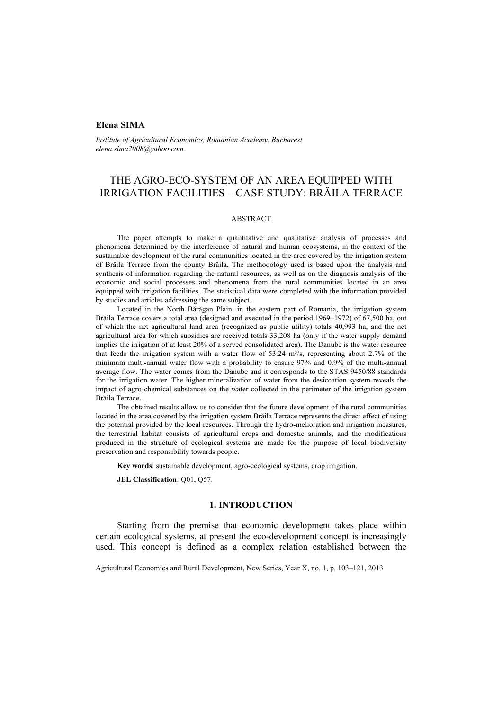## **Elena SIMA**

*Institute of Agricultural Economics, Romanian Academy, Bucharest elena.sima2008@yahoo.com* 

# THE AGRO-ECO-SYSTEM OF AN AREA EQUIPPED WITH IRRIGATION FACILITIES – CASE STUDY: BRĂILA TERRACE

### ABSTRACT

The paper attempts to make a quantitative and qualitative analysis of processes and phenomena determined by the interference of natural and human ecosystems, in the context of the sustainable development of the rural communities located in the area covered by the irrigation system of Brăila Terrace from the county Brăila. The methodology used is based upon the analysis and synthesis of information regarding the natural resources, as well as on the diagnosis analysis of the economic and social processes and phenomena from the rural communities located in an area equipped with irrigation facilities. The statistical data were completed with the information provided by studies and articles addressing the same subject.

Located in the North Bărăgan Plain, in the eastern part of Romania, the irrigation system Brăila Terrace covers a total area (designed and executed in the period 1969–1972) of 67,500 ha, out of which the net agricultural land area (recognized as public utility) totals 40,993 ha, and the net agricultural area for which subsidies are received totals 33,208 ha (only if the water supply demand implies the irrigation of at least 20% of a served consolidated area). The Danube is the water resource that feeds the irrigation system with a water flow of 53.24 m<sup>3</sup>/s, representing about 2.7% of the minimum multi-annual water flow with a probability to ensure 97% and 0.9% of the multi-annual average flow. The water comes from the Danube and it corresponds to the STAS 9450/88 standards for the irrigation water. The higher mineralization of water from the desiccation system reveals the impact of agro-chemical substances on the water collected in the perimeter of the irrigation system Brăila Terrace.

The obtained results allow us to consider that the future development of the rural communities located in the area covered by the irrigation system Brăila Terrace represents the direct effect of using the potential provided by the local resources. Through the hydro-melioration and irrigation measures, the terrestrial habitat consists of agricultural crops and domestic animals, and the modifications produced in the structure of ecological systems are made for the purpose of local biodiversity preservation and responsibility towards people.

**Key words**: sustainable development, agro-ecological systems, crop irrigation.

**JEL Classification**: Q01, Q57.

### **1. INTRODUCTION**

Starting from the premise that economic development takes place within certain ecological systems, at present the eco-development concept is increasingly used. This concept is defined as a complex relation established between the

Agricultural Economics and Rural Development, New Series, Year X, no. 1, p. 103–121, 2013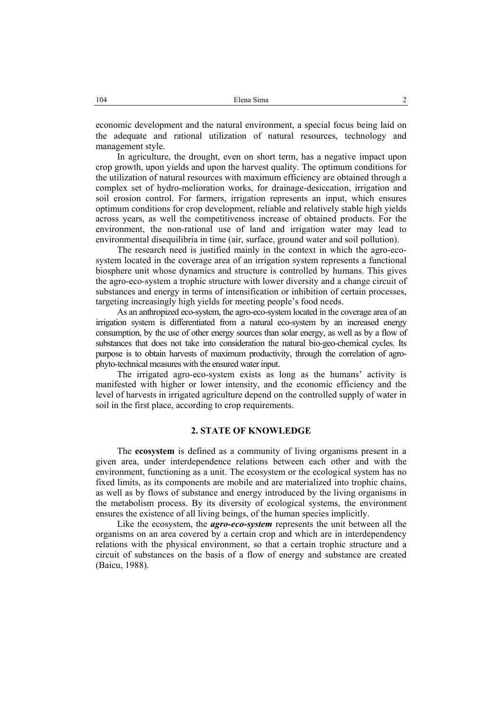economic development and the natural environment, a special focus being laid on the adequate and rational utilization of natural resources, technology and management style.

In agriculture, the drought, even on short term, has a negative impact upon crop growth, upon yields and upon the harvest quality. The optimum conditions for the utilization of natural resources with maximum efficiency are obtained through a complex set of hydro-melioration works, for drainage-desiccation, irrigation and soil erosion control. For farmers, irrigation represents an input, which ensures optimum conditions for crop development, reliable and relatively stable high yields across years, as well the competitiveness increase of obtained products. For the environment, the non-rational use of land and irrigation water may lead to environmental disequilibria in time (air, surface, ground water and soil pollution).

The research need is justified mainly in the context in which the agro-ecosystem located in the coverage area of an irrigation system represents a functional biosphere unit whose dynamics and structure is controlled by humans. This gives the agro-eco-system a trophic structure with lower diversity and a change circuit of substances and energy in terms of intensification or inhibition of certain processes, targeting increasingly high yields for meeting people's food needs.

As an anthropized eco-system, the agro-eco-system located in the coverage area of an irrigation system is differentiated from a natural eco-system by an increased energy consumption, by the use of other energy sources than solar energy, as well as by a flow of substances that does not take into consideration the natural bio-geo-chemical cycles. Its purpose is to obtain harvests of maximum productivity, through the correlation of agrophyto-technical measures with the ensured water input.

The irrigated agro-eco-system exists as long as the humans' activity is manifested with higher or lower intensity, and the economic efficiency and the level of harvests in irrigated agriculture depend on the controlled supply of water in soil in the first place, according to crop requirements.

#### **2. STATE OF KNOWLEDGE**

The **ecosystem** is defined as a community of living organisms present in a given area, under interdependence relations between each other and with the environment, functioning as a unit. The ecosystem or the ecological system has no fixed limits, as its components are mobile and are materialized into trophic chains, as well as by flows of substance and energy introduced by the living organisms in the metabolism process. By its diversity of ecological systems, the environment ensures the existence of all living beings, of the human species implicitly.

Like the ecosystem, the *agro-eco-system* represents the unit between all the organisms on an area covered by a certain crop and which are in interdependency relations with the physical environment, so that a certain trophic structure and a circuit of substances on the basis of a flow of energy and substance are created (Baicu, 1988).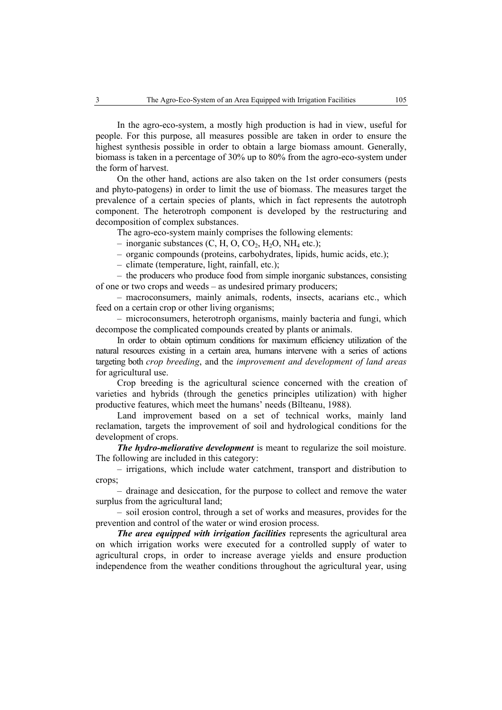In the agro-eco-system, a mostly high production is had in view, useful for people. For this purpose, all measures possible are taken in order to ensure the highest synthesis possible in order to obtain a large biomass amount. Generally, biomass is taken in a percentage of 30% up to 80% from the agro-eco-system under the form of harvest.

On the other hand, actions are also taken on the 1st order consumers (pests and phyto-patogens) in order to limit the use of biomass. The measures target the prevalence of a certain species of plants, which in fact represents the autotroph component. The heterotroph component is developed by the restructuring and decomposition of complex substances.

The agro-eco-system mainly comprises the following elements:

– inorganic substances  $(C, H, O, CO<sub>2</sub>, H<sub>2</sub>O, NH<sub>4</sub>$  etc.);

– organic compounds (proteins, carbohydrates, lipids, humic acids, etc.);

– climate (temperature, light, rainfall, etc.);

– the producers who produce food from simple inorganic substances, consisting of one or two crops and weeds – as undesired primary producers;

– macroconsumers, mainly animals, rodents, insects, acarians etc., which feed on a certain crop or other living organisms;

– microconsumers, heterotroph organisms, mainly bacteria and fungi, which decompose the complicated compounds created by plants or animals.

In order to obtain optimum conditions for maximum efficiency utilization of the natural resources existing in a certain area, humans intervene with a series of actions targeting both *crop breeding*, and the *improvement and development of land areas* for agricultural use.

Crop breeding is the agricultural science concerned with the creation of varieties and hybrids (through the genetics principles utilization) with higher productive features, which meet the humans' needs (Bîlteanu, 1988).

Land improvement based on a set of technical works, mainly land reclamation, targets the improvement of soil and hydrological conditions for the development of crops.

*The hydro-meliorative development* is meant to regularize the soil moisture. The following are included in this category:

– irrigations, which include water catchment, transport and distribution to crops;

– drainage and desiccation, for the purpose to collect and remove the water surplus from the agricultural land;

– soil erosion control, through a set of works and measures, provides for the prevention and control of the water or wind erosion process.

*The area equipped with irrigation facilities represents the agricultural area* on which irrigation works were executed for a controlled supply of water to agricultural crops, in order to increase average yields and ensure production independence from the weather conditions throughout the agricultural year, using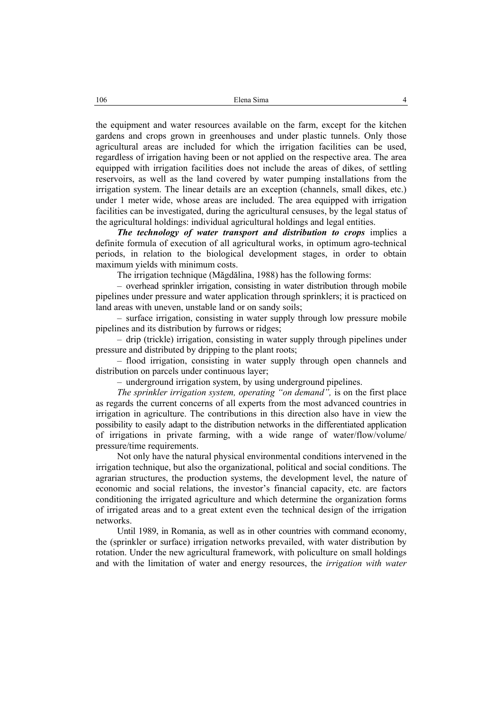the equipment and water resources available on the farm, except for the kitchen gardens and crops grown in greenhouses and under plastic tunnels. Only those agricultural areas are included for which the irrigation facilities can be used, regardless of irrigation having been or not applied on the respective area. The area equipped with irrigation facilities does not include the areas of dikes, of settling reservoirs, as well as the land covered by water pumping installations from the irrigation system. The linear details are an exception (channels, small dikes, etc.) under 1 meter wide, whose areas are included. The area equipped with irrigation facilities can be investigated, during the agricultural censuses, by the legal status of the agricultural holdings: individual agricultural holdings and legal entities.

*The technology of water transport and distribution to crops* implies a definite formula of execution of all agricultural works, in optimum agro-technical periods, in relation to the biological development stages, in order to obtain maximum yields with minimum costs.

The irrigation technique (Măgdălina, 1988) has the following forms:

– overhead sprinkler irrigation, consisting in water distribution through mobile pipelines under pressure and water application through sprinklers; it is practiced on land areas with uneven, unstable land or on sandy soils;

– surface irrigation, consisting in water supply through low pressure mobile pipelines and its distribution by furrows or ridges;

– drip (trickle) irrigation, consisting in water supply through pipelines under pressure and distributed by dripping to the plant roots;

– flood irrigation, consisting in water supply through open channels and distribution on parcels under continuous layer;

– underground irrigation system, by using underground pipelines.

*The sprinkler irrigation system, operating "on demand"*, is on the first place as regards the current concerns of all experts from the most advanced countries in irrigation in agriculture. The contributions in this direction also have in view the possibility to easily adapt to the distribution networks in the differentiated application of irrigations in private farming, with a wide range of water/flow/volume/ pressure/time requirements.

Not only have the natural physical environmental conditions intervened in the irrigation technique, but also the organizational, political and social conditions. The agrarian structures, the production systems, the development level, the nature of economic and social relations, the investor's financial capacity, etc. are factors conditioning the irrigated agriculture and which determine the organization forms of irrigated areas and to a great extent even the technical design of the irrigation networks.

Until 1989, in Romania, as well as in other countries with command economy, the (sprinkler or surface) irrigation networks prevailed, with water distribution by rotation. Under the new agricultural framework, with policulture on small holdings and with the limitation of water and energy resources, the *irrigation with water*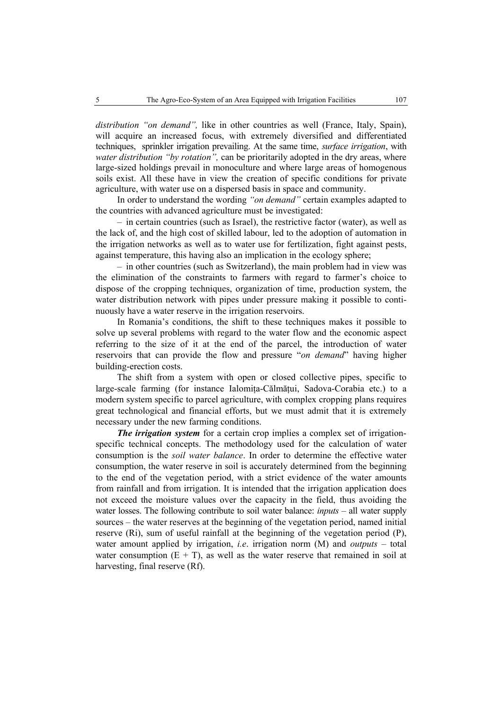*distribution "on demand",* like in other countries as well (France, Italy, Spain), will acquire an increased focus, with extremely diversified and differentiated techniques, sprinkler irrigation prevailing. At the same time, *surface irrigation*, with *water distribution "by rotation",* can be prioritarily adopted in the dry areas, where large-sized holdings prevail in monoculture and where large areas of homogenous soils exist. All these have in view the creation of specific conditions for private agriculture, with water use on a dispersed basis in space and community.

In order to understand the wording *"on demand"* certain examples adapted to the countries with advanced agriculture must be investigated:

– in certain countries (such as Israel), the restrictive factor (water), as well as the lack of, and the high cost of skilled labour, led to the adoption of automation in the irrigation networks as well as to water use for fertilization, fight against pests, against temperature, this having also an implication in the ecology sphere;

– in other countries (such as Switzerland), the main problem had in view was the elimination of the constraints to farmers with regard to farmer's choice to dispose of the cropping techniques, organization of time, production system, the water distribution network with pipes under pressure making it possible to continuously have a water reserve in the irrigation reservoirs.

In Romania's conditions, the shift to these techniques makes it possible to solve up several problems with regard to the water flow and the economic aspect referring to the size of it at the end of the parcel, the introduction of water reservoirs that can provide the flow and pressure "*on demand*" having higher building-erection costs.

The shift from a system with open or closed collective pipes, specific to large-scale farming (for instance Ialomita-Călmățui, Sadova-Corabia etc.) to a modern system specific to parcel agriculture, with complex cropping plans requires great technological and financial efforts, but we must admit that it is extremely necessary under the new farming conditions.

*The irrigation system* for a certain crop implies a complex set of irrigationspecific technical concepts. The methodology used for the calculation of water consumption is the *soil water balance*. In order to determine the effective water consumption, the water reserve in soil is accurately determined from the beginning to the end of the vegetation period, with a strict evidence of the water amounts from rainfall and from irrigation. It is intended that the irrigation application does not exceed the moisture values over the capacity in the field, thus avoiding the water losses. The following contribute to soil water balance: *inputs –* all water supply sources – the water reserves at the beginning of the vegetation period, named initial reserve (Ri), sum of useful rainfall at the beginning of the vegetation period (P), water amount applied by irrigation, *i.e*. irrigation norm (M) and *outputs* – total water consumption  $(E + T)$ , as well as the water reserve that remained in soil at harvesting, final reserve (Rf).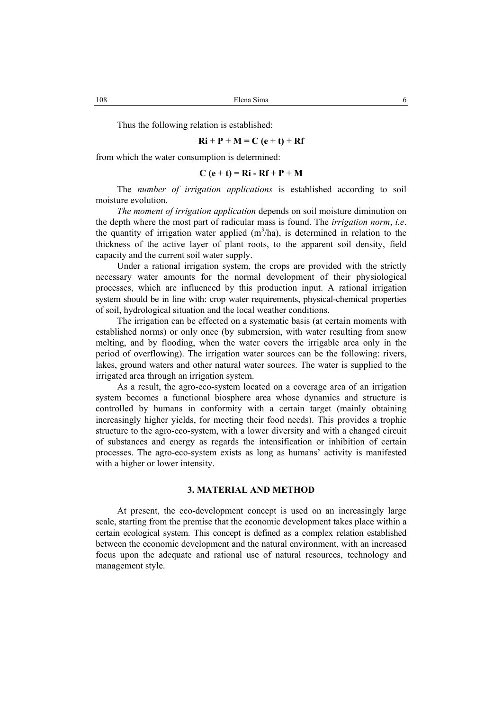Thus the following relation is established:

### $Ri + P + M = C (e + t) + Rf$

from which the water consumption is determined:

### $C (e + t) = Ri - Rf + P + M$

The *number of irrigation applications* is established according to soil moisture evolution.

*The moment of irrigation application* depends on soil moisture diminution on the depth where the most part of radicular mass is found. The *irrigation norm*, *i.e*. the quantity of irrigation water applied  $(m^3/ha)$ , is determined in relation to the thickness of the active layer of plant roots, to the apparent soil density, field capacity and the current soil water supply.

Under a rational irrigation system, the crops are provided with the strictly necessary water amounts for the normal development of their physiological processes, which are influenced by this production input. A rational irrigation system should be in line with: crop water requirements, physical-chemical properties of soil, hydrological situation and the local weather conditions.

The irrigation can be effected on a systematic basis (at certain moments with established norms) or only once (by submersion, with water resulting from snow melting, and by flooding, when the water covers the irrigable area only in the period of overflowing). The irrigation water sources can be the following: rivers, lakes, ground waters and other natural water sources. The water is supplied to the irrigated area through an irrigation system.

As a result, the agro-eco-system located on a coverage area of an irrigation system becomes a functional biosphere area whose dynamics and structure is controlled by humans in conformity with a certain target (mainly obtaining increasingly higher yields, for meeting their food needs). This provides a trophic structure to the agro-eco-system, with a lower diversity and with a changed circuit of substances and energy as regards the intensification or inhibition of certain processes. The agro-eco-system exists as long as humans' activity is manifested with a higher or lower intensity.

### **3. MATERIAL AND METHOD**

At present, the eco-development concept is used on an increasingly large scale, starting from the premise that the economic development takes place within a certain ecological system. This concept is defined as a complex relation established between the economic development and the natural environment, with an increased focus upon the adequate and rational use of natural resources, technology and management style.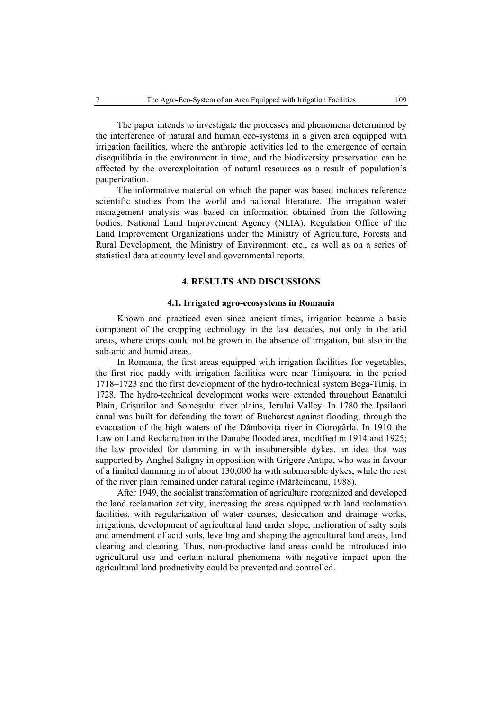The paper intends to investigate the processes and phenomena determined by the interference of natural and human eco-systems in a given area equipped with irrigation facilities, where the anthropic activities led to the emergence of certain disequilibria in the environment in time, and the biodiversity preservation can be affected by the overexploitation of natural resources as a result of population's pauperization.

The informative material on which the paper was based includes reference scientific studies from the world and national literature. The irrigation water management analysis was based on information obtained from the following bodies: National Land Improvement Agency (NLIA), Regulation Office of the Land Improvement Organizations under the Ministry of Agriculture, Forests and Rural Development, the Ministry of Environment, etc., as well as on a series of statistical data at county level and governmental reports.

### **4. RESULTS AND DISCUSSIONS**

### **4.1. Irrigated agro-ecosystems in Romania**

Known and practiced even since ancient times, irrigation became a basic component of the cropping technology in the last decades, not only in the arid areas, where crops could not be grown in the absence of irrigation, but also in the sub-arid and humid areas.

In Romania, the first areas equipped with irrigation facilities for vegetables, the first rice paddy with irrigation facilities were near Timişoara, in the period 1718–1723 and the first development of the hydro-technical system Bega-Timiş, in 1728. The hydro-technical development works were extended throughout Banatului Plain, Crişurilor and Someşului river plains, Ierului Valley. In 1780 the Ipsilanti canal was built for defending the town of Bucharest against flooding, through the evacuation of the high waters of the Dâmbovita river in Ciorogârla. In 1910 the Law on Land Reclamation in the Danube flooded area, modified in 1914 and 1925; the law provided for damming in with insubmersible dykes, an idea that was supported by Anghel Saligny in opposition with Grigore Antipa, who was in favour of a limited damming in of about 130,000 ha with submersible dykes, while the rest of the river plain remained under natural regime (Mărăcineanu, 1988).

After 1949, the socialist transformation of agriculture reorganized and developed the land reclamation activity, increasing the areas equipped with land reclamation facilities, with regularization of water courses, desiccation and drainage works, irrigations, development of agricultural land under slope, melioration of salty soils and amendment of acid soils, levelling and shaping the agricultural land areas, land clearing and cleaning. Thus, non-productive land areas could be introduced into agricultural use and certain natural phenomena with negative impact upon the agricultural land productivity could be prevented and controlled.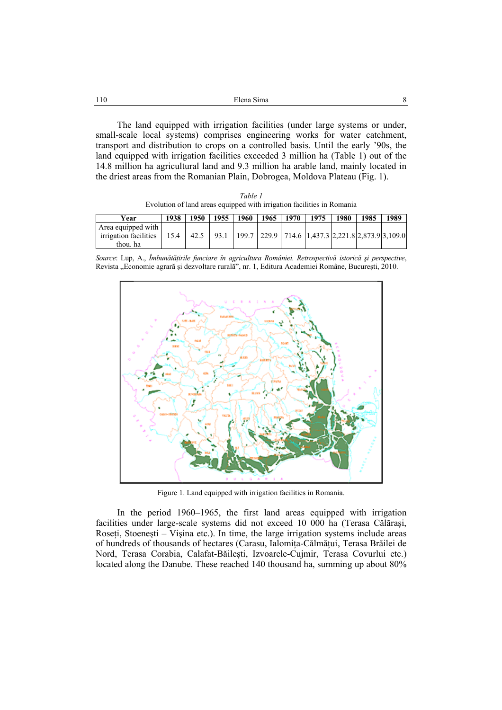| 110 | Elena Sima                                                                  |  |  |
|-----|-----------------------------------------------------------------------------|--|--|
|     |                                                                             |  |  |
|     | The land equipped with irrigation facilities (under large systems or under, |  |  |
|     |                                                                             |  |  |

small-scale local systems) comprises engineering works for water catchment, transport and distribution to crops on a controlled basis. Until the early '90s, the land equipped with irrigation facilities exceeded 3 million ha (Table 1) out of the 14.8 million ha agricultural land and 9.3 million ha arable land, mainly located in the driest areas from the Romanian Plain, Dobrogea, Moldova Plateau (Fig. 1).

*Table 1*  Evolution of land areas equipped with irrigation facilities in Romania

| Year                                                                                                                                           | 1938 | 1950 |  |  | 1955   1960   1965   1970   1975 | 1980 | 1985 | 1989 |
|------------------------------------------------------------------------------------------------------------------------------------------------|------|------|--|--|----------------------------------|------|------|------|
| Area equipped with<br>irrigation facilities   15.4   42.5   93.1   199.7   229.9   714.6   1,437.3   2,221.8   2,873.9   3,109.0  <br>thou, ha |      |      |  |  |                                  |      |      |      |

*Source*: Lup, A., *Îmbunătăţirile funciare în agricultura României. Retrospectivă istorică şi perspective*, Revista "Economie agrară și dezvoltare rurală", nr. 1, Editura Academiei Române, București, 2010.



Figure 1. Land equipped with irrigation facilities in Romania.

In the period 1960–1965, the first land areas equipped with irrigation facilities under large-scale systems did not exceed 10 000 ha (Terasa Călăraşi, Roseți, Stoenești – Vișina etc.). In time, the large irrigation systems include areas of hundreds of thousands of hectares (Carasu, Ialomiţa-Călmăţui, Terasa Brăilei de Nord, Terasa Corabia, Calafat-Băileşti, Izvoarele-Cujmir, Terasa Covurlui etc.) located along the Danube. These reached 140 thousand ha, summing up about 80%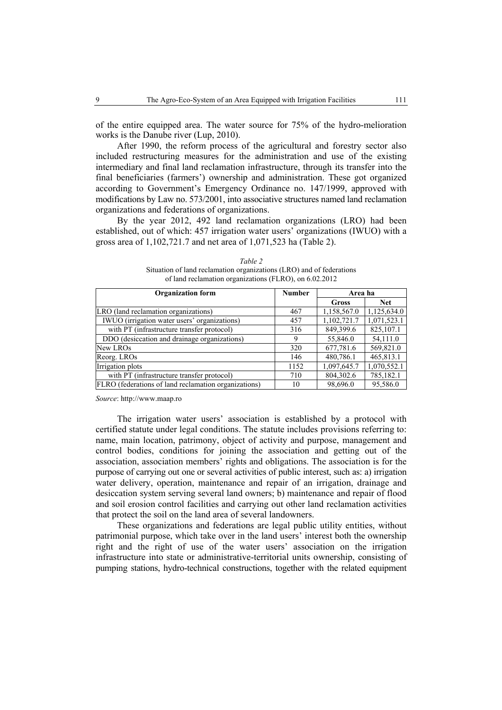of the entire equipped area. The water source for 75% of the hydro-melioration works is the Danube river (Lup, 2010).

After 1990, the reform process of the agricultural and forestry sector also included restructuring measures for the administration and use of the existing intermediary and final land reclamation infrastructure, through its transfer into the final beneficiaries (farmers') ownership and administration. These got organized according to Government's Emergency Ordinance no. 147/1999, approved with modifications by Law no. 573/2001, into associative structures named land reclamation organizations and federations of organizations.

By the year 2012, 492 land reclamation organizations (LRO) had been established, out of which: 457 irrigation water users' organizations (IWUO) with a gross area of 1,102,721.7 and net area of 1,071,523 ha (Table 2).

| <b>Organization form</b>                             | <b>Number</b> | Area ha     |             |  |  |  |  |
|------------------------------------------------------|---------------|-------------|-------------|--|--|--|--|
|                                                      |               | Gross       | <b>Net</b>  |  |  |  |  |
| LRO (land reclamation organizations)                 | 467           | 1,158,567.0 | 1,125,634.0 |  |  |  |  |
| IWUO (irrigation water users' organizations)         | 457           | 1,102,721.7 | 1,071,523.1 |  |  |  |  |
| with PT (infrastructure transfer protocol)           | 316           | 849,399.6   | 825,107.1   |  |  |  |  |
| DDO (desiccation and drainage organizations)         | 9             | 55,846.0    | 54,111.0    |  |  |  |  |
| New LROs                                             | 320           | 677,781.6   | 569,821.0   |  |  |  |  |
| Reorg. LROs                                          | 146           | 480,786.1   | 465,813.1   |  |  |  |  |
| Irrigation plots                                     | 1152          | 1,097,645.7 | 1,070,552.1 |  |  |  |  |
| with PT (infrastructure transfer protocol)           | 710           | 804,302.6   | 785,182.1   |  |  |  |  |
| FLRO (federations of land reclamation organizations) | 10            | 98,696.0    | 95.586.0    |  |  |  |  |

*Table 2*  Situation of land reclamation organizations (LRO) and of federations of land reclamation organizations (FLRO), on 6.02.2012

*Source*: http://www.maap.ro

The irrigation water users' association is established by a protocol with certified statute under legal conditions. The statute includes provisions referring to: name, main location, patrimony, object of activity and purpose, management and control bodies, conditions for joining the association and getting out of the association, association members' rights and obligations. The association is for the purpose of carrying out one or several activities of public interest, such as: a) irrigation water delivery, operation, maintenance and repair of an irrigation, drainage and desiccation system serving several land owners; b) maintenance and repair of flood and soil erosion control facilities and carrying out other land reclamation activities that protect the soil on the land area of several landowners.

These organizations and federations are legal public utility entities, without patrimonial purpose, which take over in the land users' interest both the ownership right and the right of use of the water users' association on the irrigation infrastructure into state or administrative-territorial units ownership, consisting of pumping stations, hydro-technical constructions, together with the related equipment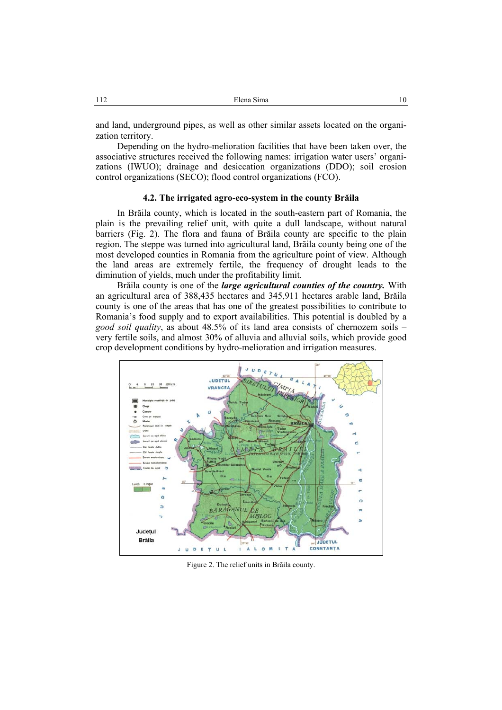and land, underground pipes, as well as other similar assets located on the organization territory.

Depending on the hydro-melioration facilities that have been taken over, the associative structures received the following names: irrigation water users' organizations (IWUO); drainage and desiccation organizations (DDO); soil erosion control organizations (SECO); flood control organizations (FCO).

### **4.2. The irrigated agro-eco-system in the county Brăila**

In Brăila county, which is located in the south-eastern part of Romania, the plain is the prevailing relief unit, with quite a dull landscape, without natural barriers (Fig. 2). The flora and fauna of Brăila county are specific to the plain region. The steppe was turned into agricultural land, Brăila county being one of the most developed counties in Romania from the agriculture point of view. Although the land areas are extremely fertile, the frequency of drought leads to the diminution of yields, much under the profitability limit.

Brăila county is one of the *large agricultural counties of the country.* With an agricultural area of 388,435 hectares and 345,911 hectares arable land, Brăila county is one of the areas that has one of the greatest possibilities to contribute to Romania's food supply and to export availabilities. This potential is doubled by a *good soil quality*, as about 48.5% of its land area consists of chernozem soils – very fertile soils, and almost 30% of alluvia and alluvial soils, which provide good crop development conditions by hydro-melioration and irrigation measures.



Figure 2. The relief units in Brăila county.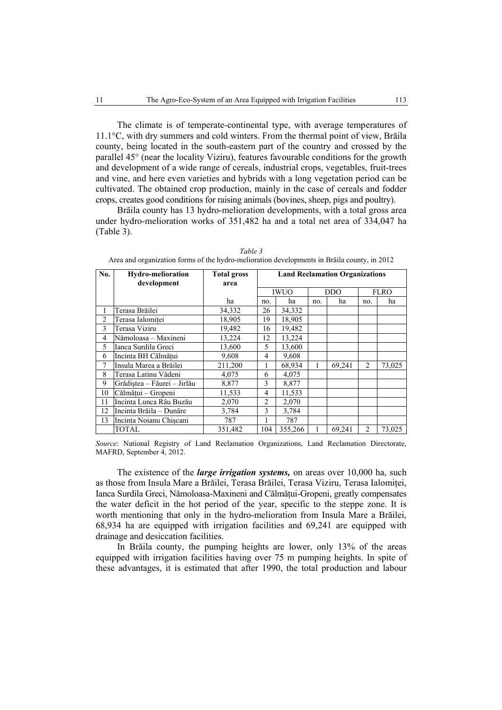The climate is of temperate-continental type, with average temperatures of 11.1°C, with dry summers and cold winters. From the thermal point of view, Brăila county, being located in the south-eastern part of the country and crossed by the parallel 45° (near the locality Viziru), features favourable conditions for the growth and development of a wide range of cereals, industrial crops, vegetables, fruit-trees and vine, and here even varieties and hybrids with a long vegetation period can be cultivated. The obtained crop production, mainly in the case of cereals and fodder crops, creates good conditions for raising animals (bovines, sheep, pigs and poultry).

Brăila county has 13 hydro-melioration developments, with a total gross area under hydro-melioration works of 351,482 ha and a total net area of 334,047 ha (Table 3).

| No. | <b>Hydro-melioration</b><br>development | <b>Total gross</b><br>area | <b>Land Reclamation Organizations</b> |         |            |        |                |        |  |
|-----|-----------------------------------------|----------------------------|---------------------------------------|---------|------------|--------|----------------|--------|--|
|     |                                         |                            | <b>IWUO</b>                           |         | <b>DDO</b> |        | <b>FLRO</b>    |        |  |
|     |                                         | ha                         | no.                                   | ha      | no.        | ha     | no.            | ha     |  |
| 1   | Terasa Brăilei                          | 34,332                     | 26                                    | 34,332  |            |        |                |        |  |
| 2   | Terasa Ialomitei                        | 18,905                     | 19                                    | 18,905  |            |        |                |        |  |
| 3   | Terasa Viziru                           | 19,482                     | 16                                    | 19,482  |            |        |                |        |  |
| 4   | Nămoloasa - Maxineni                    | 13,224                     | 12                                    | 13,224  |            |        |                |        |  |
| 5   | Ianca Surdila Greci                     | 13,600                     | 5                                     | 13,600  |            |        |                |        |  |
| 6   | Incinta BH Călmătui                     | 9,608                      | 4                                     | 9,608   |            |        |                |        |  |
| 7   | Insula Marea a Brăilei                  | 211,200                    |                                       | 68,934  | 1          | 69,241 | $\overline{c}$ | 73,025 |  |
| 8   | Terasa Latinu Vădeni                    | 4,075                      | 6                                     | 4,075   |            |        |                |        |  |
| 9   | Grădiștea – Făurei – Jirlău             | 8,877                      | 3                                     | 8,877   |            |        |                |        |  |
| 10  | Călmățui - Gropeni                      | 11,533                     | 4                                     | 11,533  |            |        |                |        |  |
| 11  | Incinta Lunca Râu Buzău                 | 2,070                      | 2                                     | 2,070   |            |        |                |        |  |
| 12  | Incinta Brăila – Dunăre                 | 3,784                      | 3                                     | 3,784   |            |        |                |        |  |
| 13  | Incinta Noianu Chiscani                 | 787                        |                                       | 787     |            |        |                |        |  |
|     | <b>TOTAL</b>                            | 351,482                    | 104                                   | 355,266 |            | 69,241 | 2              | 73,025 |  |

*Table 3*  Area and organization forms of the hydro-melioration developments in Brăila county, in 2012

*Source*: National Registry of Land Reclamation Organizations, Land Reclamation Directorate, MAFRD, September 4, 2012.

The existence of the *large irrigation systems,* on areas over 10,000 ha, such as those from Insula Mare a Brăilei, Terasa Brăilei, Terasa Viziru, Terasa Ialomiţei, Ianca Surdila Greci, Nămoloasa-Maxineni and Călmăţui-Gropeni, greatly compensates the water deficit in the hot period of the year, specific to the steppe zone. It is worth mentioning that only in the hydro-melioration from Insula Mare a Brăilei, 68,934 ha are equipped with irrigation facilities and 69,241 are equipped with drainage and desiccation facilities.

In Brăila county, the pumping heights are lower, only 13% of the areas equipped with irrigation facilities having over 75 m pumping heights. In spite of these advantages, it is estimated that after 1990, the total production and labour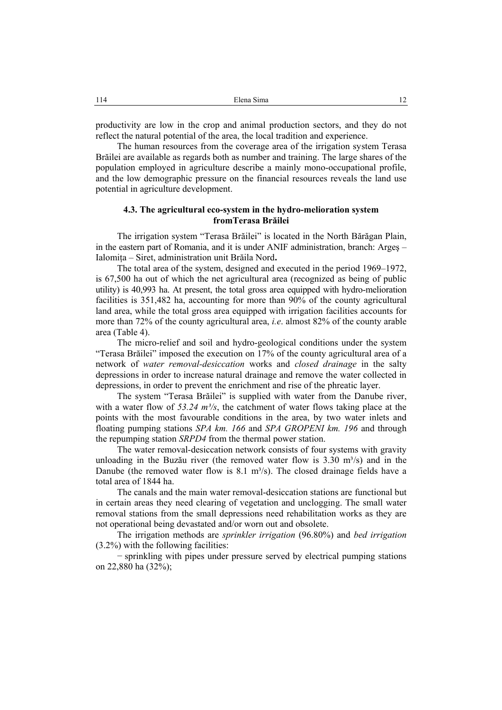productivity are low in the crop and animal production sectors, and they do not reflect the natural potential of the area, the local tradition and experience.

The human resources from the coverage area of the irrigation system Terasa Brăilei are available as regards both as number and training. The large shares of the population employed in agriculture describe a mainly mono-occupational profile, and the low demographic pressure on the financial resources reveals the land use potential in agriculture development.

### **4.3. The agricultural eco-system in the hydro-melioration system fromTerasa Brăilei**

The irrigation system "Terasa Brăilei" is located in the North Bărăgan Plain, in the eastern part of Romania, and it is under ANIF administration, branch: Argeş – Ialomiţa – Siret, administration unit Brăila Nord**.**

The total area of the system, designed and executed in the period 1969–1972, is 67,500 ha out of which the net agricultural area (recognized as being of public utility) is 40,993 ha. At present, the total gross area equipped with hydro-melioration facilities is 351,482 ha, accounting for more than 90% of the county agricultural land area, while the total gross area equipped with irrigation facilities accounts for more than 72% of the county agricultural area, *i.e*. almost 82% of the county arable area (Table 4).

The micro-relief and soil and hydro-geological conditions under the system "Terasa Brăilei" imposed the execution on 17% of the county agricultural area of a network of *water removal-desiccation* works and *closed drainage* in the salty depressions in order to increase natural drainage and remove the water collected in depressions, in order to prevent the enrichment and rise of the phreatic layer.

The system "Terasa Brăilei" is supplied with water from the Danube river, with a water flow of  $53.24 \frac{m^3}{s}$ , the catchment of water flows taking place at the points with the most favourable conditions in the area, by two water inlets and floating pumping stations *SPA km. 166* and *SPA GROPENI km. 196* and through the repumping station *SRPD4* from the thermal power station.

The water removal-desiccation network consists of four systems with gravity unloading in the Buzău river (the removed water flow is  $3.30 \text{ m}^3/\text{s}$ ) and in the Danube (the removed water flow is 8.1 m<sup>3</sup>/s). The closed drainage fields have a total area of 1844 ha.

The canals and the main water removal-desiccation stations are functional but in certain areas they need clearing of vegetation and unclogging. The small water removal stations from the small depressions need rehabilitation works as they are not operational being devastated and/or worn out and obsolete.

The irrigation methods are *sprinkler irrigation* (96.80%) and *bed irrigation* (3.2%) with the following facilities:

− sprinkling with pipes under pressure served by electrical pumping stations on 22,880 ha (32%);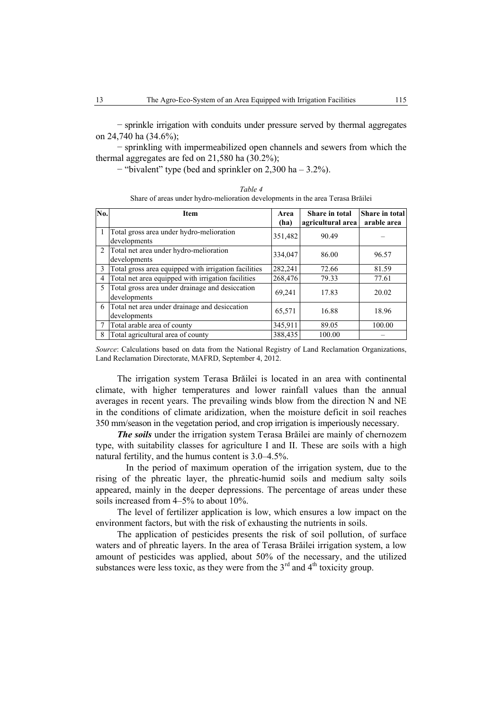− sprinkle irrigation with conduits under pressure served by thermal aggregates on 24,740 ha (34.6%);

− sprinkling with impermeabilized open channels and sewers from which the thermal aggregates are fed on 21,580 ha (30.2%);

− "bivalent" type (bed and sprinkler on 2,300 ha – 3.2%).

| No.           | <b>Item</b>                                                     | Area<br>(ha) | Share in total<br>agricultural area | <b>Share in total</b><br>arable area |
|---------------|-----------------------------------------------------------------|--------------|-------------------------------------|--------------------------------------|
|               | Total gross area under hydro-melioration<br>developments        | 351,482      | 90.49                               |                                      |
|               | 2 Total net area under hydro-melioration<br>developments        | 334,047      | 86.00                               | 96.57                                |
| $\mathcal{E}$ | Total gross area equipped with irrigation facilities            | 282,241      | 72.66                               | 81.59                                |
| 4             | Total net area equipped with irrigation facilities              | 268,476      | 79.33                               | 77.61                                |
| 5             | Total gross area under drainage and desiccation<br>developments | 69.241       | 17.83                               | 20.02                                |
| 6             | Total net area under drainage and desiccation<br>developments   | 65,571       | 16.88                               | 18.96                                |
|               | Total arable area of county                                     | 345,911      | 89.05                               | 100.00                               |
| 8             | Total agricultural area of county                               | 388,435      | 100.00                              |                                      |

*Table 4*  Share of areas under hydro-melioration developments in the area Terasa Brăilei

*Source*: Calculations based on data from the National Registry of Land Reclamation Organizations, Land Reclamation Directorate, MAFRD, September 4, 2012.

The irrigation system Terasa Brăilei is located in an area with continental climate, with higher temperatures and lower rainfall values than the annual averages in recent years. The prevailing winds blow from the direction N and NE in the conditions of climate aridization, when the moisture deficit in soil reaches 350 mm/season in the vegetation period, and crop irrigation is imperiously necessary.

*The soils* under the irrigation system Terasa Brăilei are mainly of chernozem type, with suitability classes for agriculture I and II. These are soils with a high natural fertility, and the humus content is 3.0–4.5%.

 In the period of maximum operation of the irrigation system, due to the rising of the phreatic layer, the phreatic-humid soils and medium salty soils appeared, mainly in the deeper depressions. The percentage of areas under these soils increased from 4–5% to about 10%.

The level of fertilizer application is low, which ensures a low impact on the environment factors, but with the risk of exhausting the nutrients in soils.

The application of pesticides presents the risk of soil pollution, of surface waters and of phreatic layers. In the area of Terasa Brăilei irrigation system, a low amount of pesticides was applied, about 50% of the necessary, and the utilized substances were less toxic, as they were from the  $3<sup>rd</sup>$  and  $4<sup>th</sup>$  toxicity group.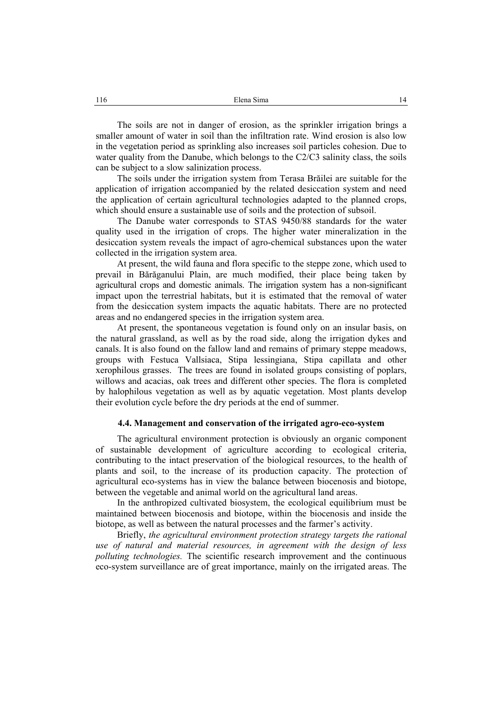The soils are not in danger of erosion, as the sprinkler irrigation brings a smaller amount of water in soil than the infiltration rate. Wind erosion is also low in the vegetation period as sprinkling also increases soil particles cohesion. Due to water quality from the Danube, which belongs to the C2/C3 salinity class, the soils can be subject to a slow salinization process.

The soils under the irrigation system from Terasa Brăilei are suitable for the application of irrigation accompanied by the related desiccation system and need the application of certain agricultural technologies adapted to the planned crops, which should ensure a sustainable use of soils and the protection of subsoil.

The Danube water corresponds to STAS 9450/88 standards for the water quality used in the irrigation of crops. The higher water mineralization in the desiccation system reveals the impact of agro-chemical substances upon the water collected in the irrigation system area.

At present, the wild fauna and flora specific to the steppe zone, which used to prevail in Bărăganului Plain, are much modified, their place being taken by agricultural crops and domestic animals. The irrigation system has a non-significant impact upon the terrestrial habitats, but it is estimated that the removal of water from the desiccation system impacts the aquatic habitats. There are no protected areas and no endangered species in the irrigation system area.

At present, the spontaneous vegetation is found only on an insular basis, on the natural grassland, as well as by the road side, along the irrigation dykes and canals. It is also found on the fallow land and remains of primary steppe meadows, groups with Festuca Vallsiaca, Stipa lessingiana, Stipa capillata and other xerophilous grasses. The trees are found in isolated groups consisting of poplars, willows and acacias, oak trees and different other species. The flora is completed by halophilous vegetation as well as by aquatic vegetation. Most plants develop their evolution cycle before the dry periods at the end of summer.

### **4.4. Management and conservation of the irrigated agro-eco-system**

The agricultural environment protection is obviously an organic component of sustainable development of agriculture according to ecological criteria, contributing to the intact preservation of the biological resources, to the health of plants and soil, to the increase of its production capacity. The protection of agricultural eco-systems has in view the balance between biocenosis and biotope, between the vegetable and animal world on the agricultural land areas.

In the anthropized cultivated biosystem, the ecological equilibrium must be maintained between biocenosis and biotope, within the biocenosis and inside the biotope, as well as between the natural processes and the farmer's activity.

Briefly, *the agricultural environment protection strategy targets the rational use of natural and material resources, in agreement with the design of less polluting technologies.* The scientific research improvement and the continuous eco-system surveillance are of great importance, mainly on the irrigated areas. The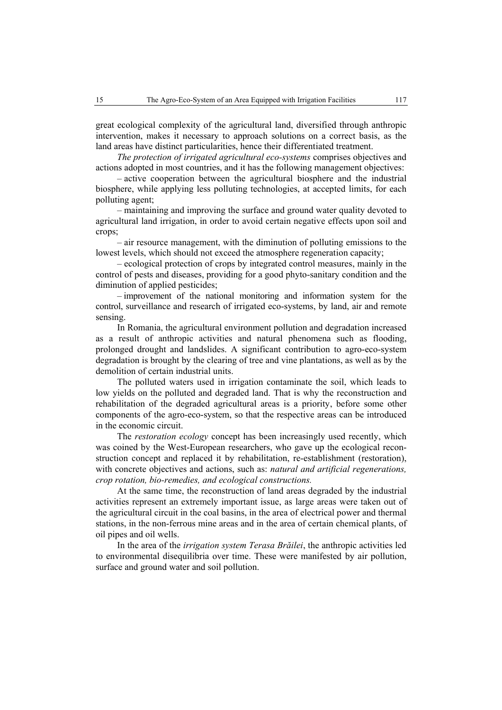great ecological complexity of the agricultural land, diversified through anthropic intervention, makes it necessary to approach solutions on a correct basis, as the land areas have distinct particularities, hence their differentiated treatment.

*The protection of irrigated agricultural eco-systems* comprises objectives and actions adopted in most countries, and it has the following management objectives:

– active cooperation between the agricultural biosphere and the industrial biosphere, while applying less polluting technologies, at accepted limits, for each polluting agent;

– maintaining and improving the surface and ground water quality devoted to agricultural land irrigation, in order to avoid certain negative effects upon soil and crops;

– air resource management, with the diminution of polluting emissions to the lowest levels, which should not exceed the atmosphere regeneration capacity;

– ecological protection of crops by integrated control measures, mainly in the control of pests and diseases, providing for a good phyto-sanitary condition and the diminution of applied pesticides;

– improvement of the national monitoring and information system for the control, surveillance and research of irrigated eco-systems, by land, air and remote sensing.

In Romania, the agricultural environment pollution and degradation increased as a result of anthropic activities and natural phenomena such as flooding, prolonged drought and landslides. A significant contribution to agro-eco-system degradation is brought by the clearing of tree and vine plantations, as well as by the demolition of certain industrial units.

The polluted waters used in irrigation contaminate the soil, which leads to low yields on the polluted and degraded land. That is why the reconstruction and rehabilitation of the degraded agricultural areas is a priority, before some other components of the agro-eco-system, so that the respective areas can be introduced in the economic circuit.

The *restoration ecology* concept has been increasingly used recently, which was coined by the West-European researchers, who gave up the ecological reconstruction concept and replaced it by rehabilitation, re-establishment (restoration), with concrete objectives and actions, such as: *natural and artificial regenerations, crop rotation, bio-remedies, and ecological constructions.*

At the same time, the reconstruction of land areas degraded by the industrial activities represent an extremely important issue, as large areas were taken out of the agricultural circuit in the coal basins, in the area of electrical power and thermal stations, in the non-ferrous mine areas and in the area of certain chemical plants, of oil pipes and oil wells.

In the area of the *irrigation system Terasa Brăilei*, the anthropic activities led to environmental disequilibria over time. These were manifested by air pollution, surface and ground water and soil pollution.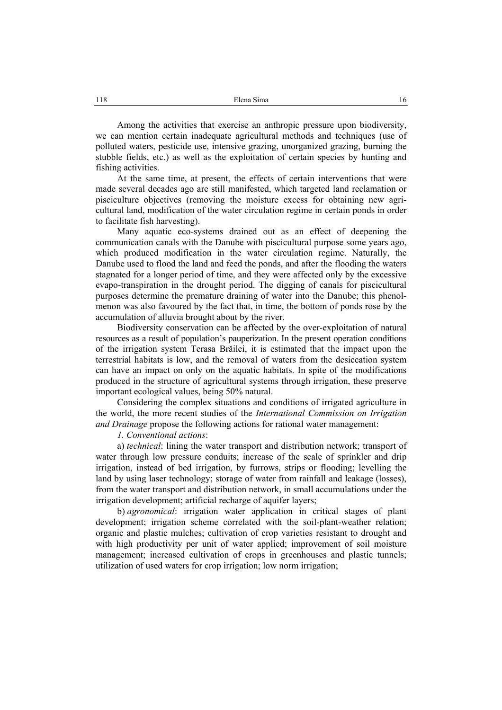Among the activities that exercise an anthropic pressure upon biodiversity, we can mention certain inadequate agricultural methods and techniques (use of polluted waters, pesticide use, intensive grazing, unorganized grazing, burning the stubble fields, etc.) as well as the exploitation of certain species by hunting and fishing activities.

At the same time, at present, the effects of certain interventions that were made several decades ago are still manifested, which targeted land reclamation or pisciculture objectives (removing the moisture excess for obtaining new agricultural land, modification of the water circulation regime in certain ponds in order to facilitate fish harvesting).

Many aquatic eco-systems drained out as an effect of deepening the communication canals with the Danube with piscicultural purpose some years ago, which produced modification in the water circulation regime. Naturally, the Danube used to flood the land and feed the ponds, and after the flooding the waters stagnated for a longer period of time, and they were affected only by the excessive evapo-transpiration in the drought period. The digging of canals for piscicultural purposes determine the premature draining of water into the Danube; this phenolmenon was also favoured by the fact that, in time, the bottom of ponds rose by the accumulation of alluvia brought about by the river.

Biodiversity conservation can be affected by the over-exploitation of natural resources as a result of population's pauperization. In the present operation conditions of the irrigation system Terasa Brăilei, it is estimated that the impact upon the terrestrial habitats is low, and the removal of waters from the desiccation system can have an impact on only on the aquatic habitats. In spite of the modifications produced in the structure of agricultural systems through irrigation, these preserve important ecological values, being 50% natural.

Considering the complex situations and conditions of irrigated agriculture in the world, the more recent studies of the *International Commission on Irrigation and Drainage* propose the following actions for rational water management:

*1. Conventional actions*:

a) *technical*: lining the water transport and distribution network; transport of water through low pressure conduits; increase of the scale of sprinkler and drip irrigation, instead of bed irrigation, by furrows, strips or flooding; levelling the land by using laser technology; storage of water from rainfall and leakage (losses), from the water transport and distribution network, in small accumulations under the irrigation development; artificial recharge of aquifer layers;

b) *agronomical*: irrigation water application in critical stages of plant development; irrigation scheme correlated with the soil-plant-weather relation; organic and plastic mulches; cultivation of crop varieties resistant to drought and with high productivity per unit of water applied; improvement of soil moisture management; increased cultivation of crops in greenhouses and plastic tunnels; utilization of used waters for crop irrigation; low norm irrigation;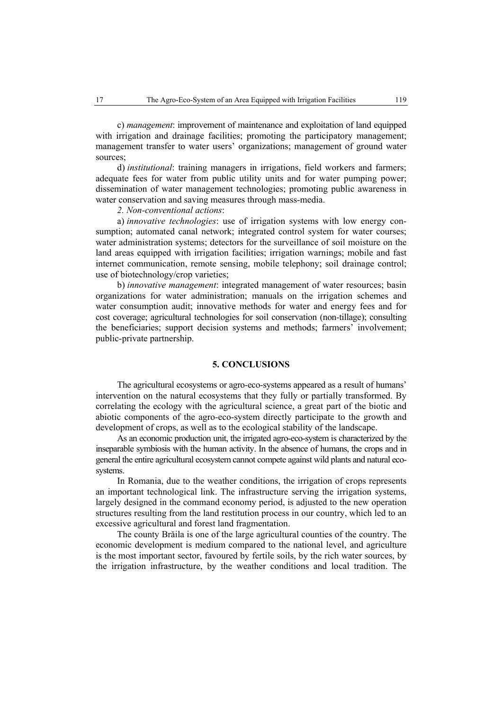c) *management*: improvement of maintenance and exploitation of land equipped with irrigation and drainage facilities; promoting the participatory management; management transfer to water users' organizations; management of ground water sources;

d) *institutional*: training managers in irrigations, field workers and farmers; adequate fees for water from public utility units and for water pumping power; dissemination of water management technologies; promoting public awareness in water conservation and saving measures through mass-media.

#### *2. Non-conventional actions*:

a) *innovative technologies*: use of irrigation systems with low energy consumption; automated canal network; integrated control system for water courses; water administration systems; detectors for the surveillance of soil moisture on the land areas equipped with irrigation facilities; irrigation warnings; mobile and fast internet communication, remote sensing, mobile telephony; soil drainage control; use of biotechnology/crop varieties;

b) *innovative management*: integrated management of water resources; basin organizations for water administration; manuals on the irrigation schemes and water consumption audit; innovative methods for water and energy fees and for cost coverage; agricultural technologies for soil conservation (non-tillage); consulting the beneficiaries; support decision systems and methods; farmers' involvement; public-private partnership.

### **5. CONCLUSIONS**

The agricultural ecosystems or agro-eco-systems appeared as a result of humans' intervention on the natural ecosystems that they fully or partially transformed. By correlating the ecology with the agricultural science, a great part of the biotic and abiotic components of the agro-eco-system directly participate to the growth and development of crops, as well as to the ecological stability of the landscape.

As an economic production unit, the irrigated agro-eco-system is characterized by the inseparable symbiosis with the human activity. In the absence of humans, the crops and in general the entire agricultural ecosystem cannot compete against wild plants and natural ecosystems.

In Romania, due to the weather conditions, the irrigation of crops represents an important technological link. The infrastructure serving the irrigation systems, largely designed in the command economy period, is adjusted to the new operation structures resulting from the land restitution process in our country, which led to an excessive agricultural and forest land fragmentation.

The county Brăila is one of the large agricultural counties of the country. The economic development is medium compared to the national level, and agriculture is the most important sector, favoured by fertile soils, by the rich water sources, by the irrigation infrastructure, by the weather conditions and local tradition. The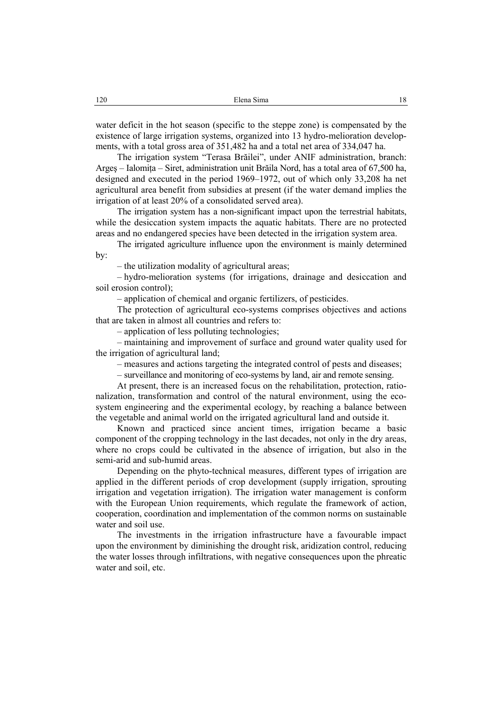water deficit in the hot season (specific to the steppe zone) is compensated by the existence of large irrigation systems, organized into 13 hydro-melioration developments, with a total gross area of 351,482 ha and a total net area of 334,047 ha.

The irrigation system "Terasa Brăilei", under ANIF administration, branch: Argeş – Ialomiţa – Siret, administration unit Brăila Nord, has a total area of 67,500 ha, designed and executed in the period 1969–1972, out of which only 33,208 ha net agricultural area benefit from subsidies at present (if the water demand implies the irrigation of at least 20% of a consolidated served area).

The irrigation system has a non-significant impact upon the terrestrial habitats, while the desiccation system impacts the aquatic habitats. There are no protected areas and no endangered species have been detected in the irrigation system area.

The irrigated agriculture influence upon the environment is mainly determined by:

– the utilization modality of agricultural areas;

– hydro-melioration systems (for irrigations, drainage and desiccation and soil erosion control);

– application of chemical and organic fertilizers, of pesticides.

The protection of agricultural eco-systems comprises objectives and actions that are taken in almost all countries and refers to:

– application of less polluting technologies;

– maintaining and improvement of surface and ground water quality used for the irrigation of agricultural land;

– measures and actions targeting the integrated control of pests and diseases;

– surveillance and monitoring of eco-systems by land, air and remote sensing.

At present, there is an increased focus on the rehabilitation, protection, rationalization, transformation and control of the natural environment, using the ecosystem engineering and the experimental ecology, by reaching a balance between the vegetable and animal world on the irrigated agricultural land and outside it.

Known and practiced since ancient times, irrigation became a basic component of the cropping technology in the last decades, not only in the dry areas, where no crops could be cultivated in the absence of irrigation, but also in the semi-arid and sub-humid areas.

Depending on the phyto-technical measures, different types of irrigation are applied in the different periods of crop development (supply irrigation, sprouting irrigation and vegetation irrigation). The irrigation water management is conform with the European Union requirements, which regulate the framework of action, cooperation, coordination and implementation of the common norms on sustainable water and soil use.

The investments in the irrigation infrastructure have a favourable impact upon the environment by diminishing the drought risk, aridization control, reducing the water losses through infiltrations, with negative consequences upon the phreatic water and soil, etc.